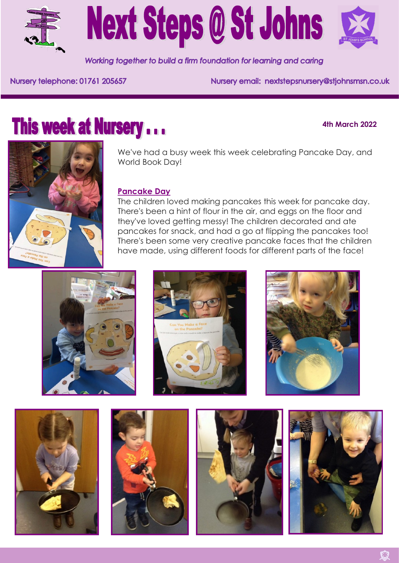

# **Next Steps @ St Johns**

Working together to build a firm foundation for learning and caring

Nursery telephone: 01761 205657

Nursery email: nextstepsnursery@stjohnsmsn.co.uk

# **This week at Nursery...**

# **4th March 2022**



We've had a busy week this week celebrating Pancake Day, and World Book Day!

# **Pancake Day**

The children loved making pancakes this week for pancake day. There's been a hint of flour in the air, and eggs on the floor and they've loved getting messy! The children decorated and ate pancakes for snack, and had a go at flipping the pancakes too! There's been some very creative pancake faces that the children have made, using different foods for different parts of the face!